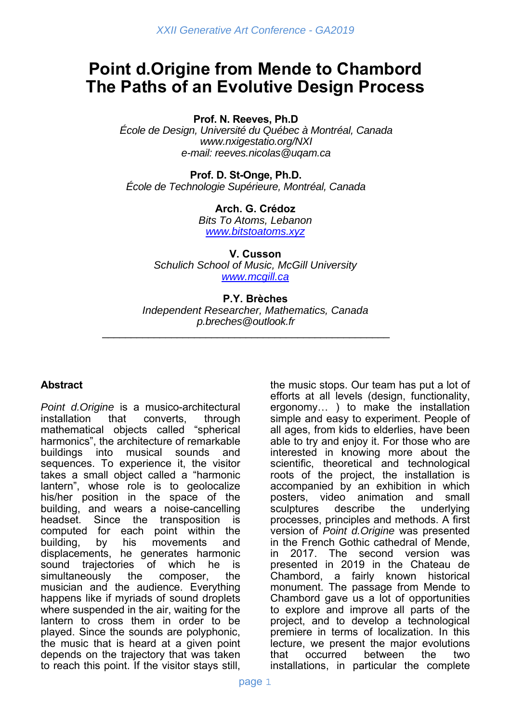# **Point d.Origine from Mende to Chambord The Paths of an Evolutive Design Process**

**Prof. N. Reeves, Ph.D** 

*École de Design, Université du Québec à Montréal, Canada www.nxigestatio.org/NXI e-mail: reeves.nicolas@uqam.ca* 

**Prof. D. St-Onge, Ph.D.**  *École de Technologie Supérieure, Montréal, Canada* 

> **Arch. G. Crédoz**  *Bits To Atoms, Lebanon www.bitstoatoms.xyz*

**V. Cusson**  *Schulich School of Music, McGill University www.mcgill.ca*

#### **P.Y. Brèches**

*Independent Researcher, Mathematics, Canada p.breches@outlook.fr* 

\_\_\_\_\_\_\_\_\_\_\_\_\_\_\_\_\_\_\_\_\_\_\_\_\_\_\_\_\_\_\_\_\_\_\_\_\_\_\_\_\_\_\_\_\_\_\_\_\_\_

#### **Abstract**

*Point d.Origine* is a musico-architectural installation that converts, through mathematical objects called "spherical harmonics", the architecture of remarkable buildings into musical sounds and sequences. To experience it, the visitor takes a small object called a "harmonic lantern", whose role is to geolocalize his/her position in the space of the building, and wears a noise-cancelling headset. Since the transposition is computed for each point within the building, by his movements and displacements, he generates harmonic sound trajectories of which he is simultaneously the composer, the musician and the audience. Everything happens like if myriads of sound droplets where suspended in the air, waiting for the lantern to cross them in order to be played. Since the sounds are polyphonic, the music that is heard at a given point depends on the trajectory that was taken to reach this point. If the visitor stays still,

the music stops. Our team has put a lot of efforts at all levels (design, functionality, ergonomy… ) to make the installation simple and easy to experiment. People of all ages, from kids to elderlies, have been able to try and enjoy it. For those who are interested in knowing more about the scientific, theoretical and technological roots of the project, the installation is accompanied by an exhibition in which posters, video animation and small sculptures describe the underlying processes, principles and methods. A first version of *Point d.Origine* was presented in the French Gothic cathedral of Mende, in 2017. The second version was presented in 2019 in the Chateau de Chambord, a fairly known historical monument. The passage from Mende to Chambord gave us a lot of opportunities to explore and improve all parts of the project, and to develop a technological premiere in terms of localization. In this lecture, we present the major evolutions that occurred between the two installations, in particular the complete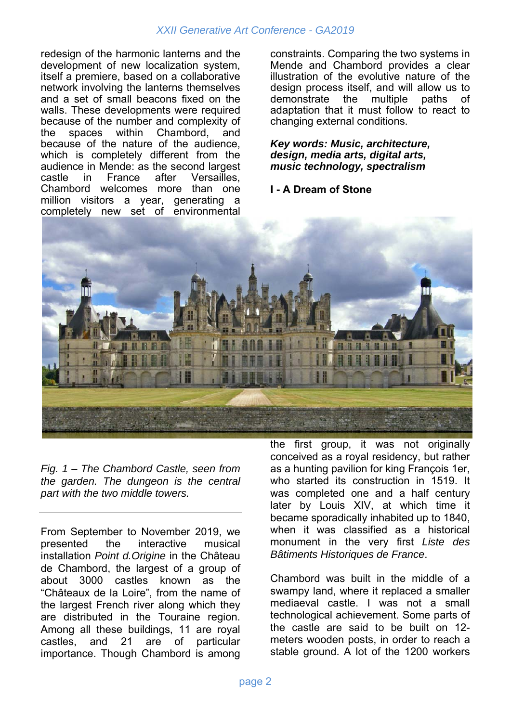#### *XXII Generative Art Conference - GA2019*

redesign of the harmonic lanterns and the development of new localization system, itself a premiere, based on a collaborative network involving the lanterns themselves and a set of small beacons fixed on the walls. These developments were required because of the number and complexity of the spaces within Chambord, and because of the nature of the audience, which is completely different from the audience in Mende: as the second largest castle in France after Versailles, Chambord welcomes more than one million visitors a year, generating a completely new set of environmental constraints. Comparing the two systems in Mende and Chambord provides a clear illustration of the evolutive nature of the design process itself, and will allow us to demonstrate the multiple paths of adaptation that it must follow to react to changing external conditions.

*Key words: Music, architecture, design, media arts, digital arts, music technology, spectralism* 

#### **I - A Dream of Stone**



*Fig. 1 – The Chambord Castle, seen from the garden. The dungeon is the central part with the two middle towers.* 

From September to November 2019, we presented the interactive musical installation *Point d.Origine* in the Château de Chambord, the largest of a group of about 3000 castles known as the "Châteaux de la Loire", from the name of the largest French river along which they are distributed in the Touraine region. Among all these buildings, 11 are royal castles, and 21 are of particular importance. Though Chambord is among the first group, it was not originally conceived as a royal residency, but rather as a hunting pavilion for king François 1er, who started its construction in 1519. It was completed one and a half century later by Louis XIV, at which time it became sporadically inhabited up to 1840, when it was classified as a historical monument in the very first *Liste des Bâtiments Historiques de France*.

Chambord was built in the middle of a swampy land, where it replaced a smaller mediaeval castle. I was not a small technological achievement. Some parts of the castle are said to be built on 12 meters wooden posts, in order to reach a stable ground. A lot of the 1200 workers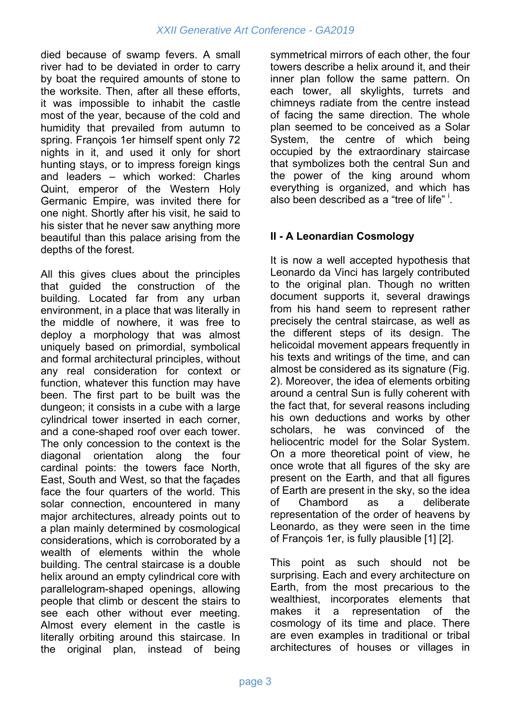died because of swamp fevers. A small river had to be deviated in order to carry by boat the required amounts of stone to the worksite. Then, after all these efforts, it was impossible to inhabit the castle most of the year, because of the cold and humidity that prevailed from autumn to spring. François 1er himself spent only 72 nights in it, and used it only for short hunting stays, or to impress foreign kings and leaders – which worked: Charles Quint, emperor of the Western Holy Germanic Empire, was invited there for one night. Shortly after his visit, he said to his sister that he never saw anything more beautiful than this palace arising from the depths of the forest.

All this gives clues about the principles that guided the construction of the building. Located far from any urban environment, in a place that was literally in the middle of nowhere, it was free to deploy a morphology that was almost uniquely based on primordial, symbolical and formal architectural principles, without any real consideration for context or function, whatever this function may have been. The first part to be built was the dungeon; it consists in a cube with a large cylindrical tower inserted in each corner, and a cone-shaped roof over each tower. The only concession to the context is the diagonal orientation along the four cardinal points: the towers face North, East, South and West, so that the façades face the four quarters of the world. This solar connection, encountered in many major architectures, already points out to a plan mainly determined by cosmological considerations, which is corroborated by a wealth of elements within the whole building. The central staircase is a double helix around an empty cylindrical core with parallelogram-shaped openings, allowing people that climb or descent the stairs to see each other without ever meeting. Almost every element in the castle is literally orbiting around this staircase. In the original plan, instead of being

symmetrical mirrors of each other, the four towers describe a helix around it, and their inner plan follow the same pattern. On each tower, all skylights, turrets and chimneys radiate from the centre instead of facing the same direction. The whole plan seemed to be conceived as a Solar System, the centre of which being occupied by the extraordinary staircase that symbolizes both the central Sun and the power of the king around whom everything is organized, and which has also been described as a "tree of life"<sup>1</sup>.

## **II - A Leonardian Cosmology**

It is now a well accepted hypothesis that Leonardo da Vinci has largely contributed to the original plan. Though no written document supports it, several drawings from his hand seem to represent rather precisely the central staircase, as well as the different steps of its design. The helicoidal movement appears frequently in his texts and writings of the time, and can almost be considered as its signature (Fig. 2). Moreover, the idea of elements orbiting around a central Sun is fully coherent with the fact that, for several reasons including his own deductions and works by other scholars, he was convinced of the heliocentric model for the Solar System. On a more theoretical point of view, he once wrote that all figures of the sky are present on the Earth, and that all figures of Earth are present in the sky, so the idea of Chambord as a deliberate representation of the order of heavens by Leonardo, as they were seen in the time of François 1er, is fully plausible [1] [2].

This point as such should not be surprising. Each and every architecture on Earth, from the most precarious to the wealthiest, incorporates elements that makes it a representation of the cosmology of its time and place. There are even examples in traditional or tribal architectures of houses or villages in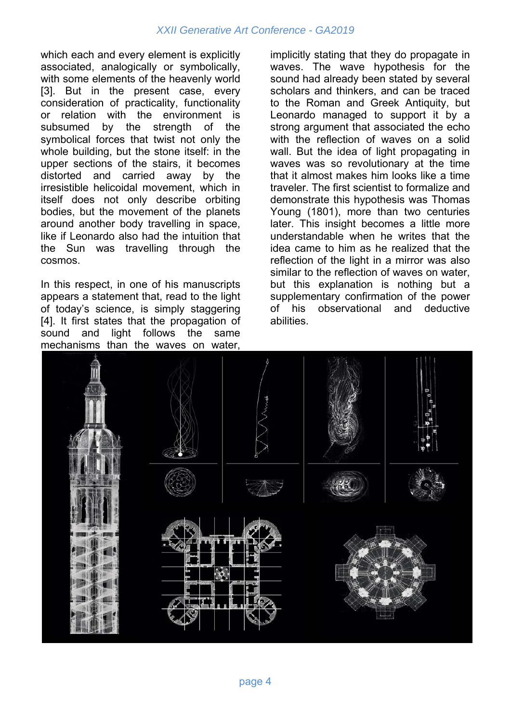which each and every element is explicitly associated, analogically or symbolically, with some elements of the heavenly world [3]. But in the present case, every consideration of practicality, functionality or relation with the environment is subsumed by the strength of the symbolical forces that twist not only the whole building, but the stone itself: in the upper sections of the stairs, it becomes distorted and carried away by the irresistible helicoidal movement, which in itself does not only describe orbiting bodies, but the movement of the planets around another body travelling in space, like if Leonardo also had the intuition that the Sun was travelling through the cosmos.

In this respect, in one of his manuscripts appears a statement that, read to the light of today's science, is simply staggering [4]. It first states that the propagation of sound and light follows the same mechanisms than the waves on water,

implicitly stating that they do propagate in waves. The wave hypothesis for the sound had already been stated by several scholars and thinkers, and can be traced to the Roman and Greek Antiquity, but Leonardo managed to support it by a strong argument that associated the echo with the reflection of waves on a solid wall. But the idea of light propagating in waves was so revolutionary at the time that it almost makes him looks like a time traveler. The first scientist to formalize and demonstrate this hypothesis was Thomas Young (1801), more than two centuries later. This insight becomes a little more understandable when he writes that the idea came to him as he realized that the reflection of the light in a mirror was also similar to the reflection of waves on water, but this explanation is nothing but a supplementary confirmation of the power of his observational and deductive abilities.

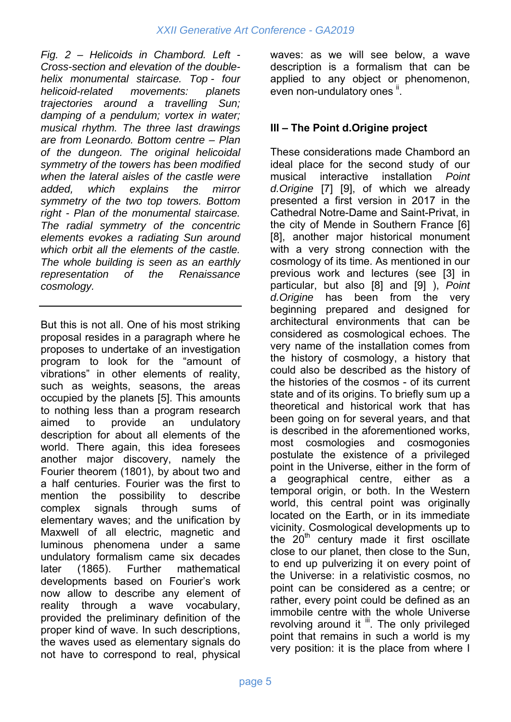*Fig. 2 – Helicoids in Chambord. Left - Cross-section and elevation of the doublehelix monumental staircase. Top - four helicoid-related movements: planets trajectories around a travelling Sun; damping of a pendulum; vortex in water; musical rhythm. The three last drawings are from Leonardo. Bottom centre – Plan of the dungeon. The original helicoidal symmetry of the towers has been modified when the lateral aisles of the castle were added, which explains the mirror symmetry of the two top towers. Bottom right - Plan of the monumental staircase. The radial symmetry of the concentric elements evokes a radiating Sun around which orbit all the elements of the castle. The whole building is seen as an earthly representation of the Renaissance cosmology.* 

But this is not all. One of his most striking proposal resides in a paragraph where he proposes to undertake of an investigation program to look for the "amount of vibrations" in other elements of reality, such as weights, seasons, the areas occupied by the planets [5]. This amounts to nothing less than a program research aimed to provide an undulatory description for about all elements of the world. There again, this idea foresees another major discovery, namely the Fourier theorem (1801), by about two and a half centuries. Fourier was the first to mention the possibility to describe complex signals through sums of elementary waves; and the unification by Maxwell of all electric, magnetic and luminous phenomena under a same undulatory formalism came six decades later (1865). Further mathematical developments based on Fourier's work now allow to describe any element of reality through a wave vocabulary, provided the preliminary definition of the proper kind of wave. In such descriptions, the waves used as elementary signals do not have to correspond to real, physical

waves: as we will see below, a wave description is a formalism that can be applied to any object or phenomenon, even non-undulatory ones ".

### **III – The Point d.Origine project**

These considerations made Chambord an ideal place for the second study of our musical interactive installation *Point d.Origine* [7] [9], of which we already presented a first version in 2017 in the Cathedral Notre-Dame and Saint-Privat, in the city of Mende in Southern France [6] [8], another major historical monument with a very strong connection with the cosmology of its time. As mentioned in our previous work and lectures (see [3] in particular, but also [8] and [9] ), *Point d.Origine* has been from the very beginning prepared and designed for architectural environments that can be considered as cosmological echoes. The very name of the installation comes from the history of cosmology, a history that could also be described as the history of the histories of the cosmos - of its current state and of its origins. To briefly sum up a theoretical and historical work that has been going on for several years, and that is described in the aforementioned works, most cosmologies and cosmogonies postulate the existence of a privileged point in the Universe, either in the form of a geographical centre, either as a temporal origin, or both. In the Western world, this central point was originally located on the Earth, or in its immediate vicinity. Cosmological developments up to the  $20<sup>th</sup>$  century made it first oscillate close to our planet, then close to the Sun, to end up pulverizing it on every point of the Universe: in a relativistic cosmos, no point can be considered as a centre; or rather, every point could be defined as an immobile centre with the whole Universe revolving around it ii. The only privileged point that remains in such a world is my very position: it is the place from where I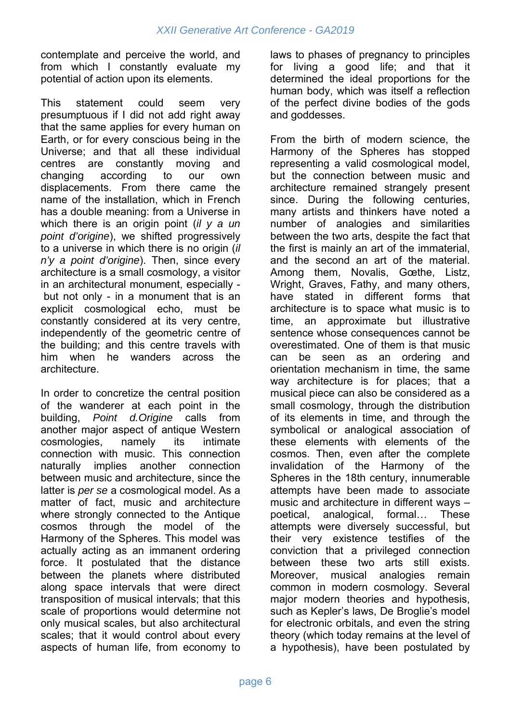contemplate and perceive the world, and from which I constantly evaluate my potential of action upon its elements.

This statement could seem very presumptuous if I did not add right away that the same applies for every human on Earth, or for every conscious being in the Universe; and that all these individual centres are constantly moving and changing according to our own displacements. From there came the name of the installation, which in French has a double meaning: from a Universe in which there is an origin point (*il y a un point d'origine*), we shifted progressively to a universe in which there is no origin (*il n'y a point d'origine*). Then, since every architecture is a small cosmology, a visitor in an architectural monument, especially but not only - in a monument that is an explicit cosmological echo, must be constantly considered at its very centre, independently of the geometric centre of the building; and this centre travels with him when he wanders across the architecture.

In order to concretize the central position of the wanderer at each point in the building, *Point d.Origine* calls from another major aspect of antique Western cosmologies, namely its intimate connection with music. This connection naturally implies another connection between music and architecture, since the latter is *per se* a cosmological model. As a matter of fact, music and architecture where strongly connected to the Antique cosmos through the model of the Harmony of the Spheres. This model was actually acting as an immanent ordering force. It postulated that the distance between the planets where distributed along space intervals that were direct transposition of musical intervals; that this scale of proportions would determine not only musical scales, but also architectural scales; that it would control about every aspects of human life, from economy to laws to phases of pregnancy to principles for living a good life; and that it determined the ideal proportions for the human body, which was itself a reflection of the perfect divine bodies of the gods and goddesses.

From the birth of modern science, the Harmony of the Spheres has stopped representing a valid cosmological model, but the connection between music and architecture remained strangely present since. During the following centuries, many artists and thinkers have noted a number of analogies and similarities between the two arts, despite the fact that the first is mainly an art of the immaterial, and the second an art of the material. Among them, Novalis, Gœthe, Listz, Wright, Graves, Fathy, and many others, have stated in different forms that architecture is to space what music is to time, an approximate but illustrative sentence whose consequences cannot be overestimated. One of them is that music can be seen as an ordering and orientation mechanism in time, the same way architecture is for places; that a musical piece can also be considered as a small cosmology, through the distribution of its elements in time, and through the symbolical or analogical association of these elements with elements of the cosmos. Then, even after the complete invalidation of the Harmony of the Spheres in the 18th century, innumerable attempts have been made to associate music and architecture in different ways – poetical, analogical, formal… These attempts were diversely successful, but their very existence testifies of the conviction that a privileged connection between these two arts still exists. Moreover, musical analogies remain common in modern cosmology. Several major modern theories and hypothesis, such as Kepler's laws, De Broglie's model for electronic orbitals, and even the string theory (which today remains at the level of a hypothesis), have been postulated by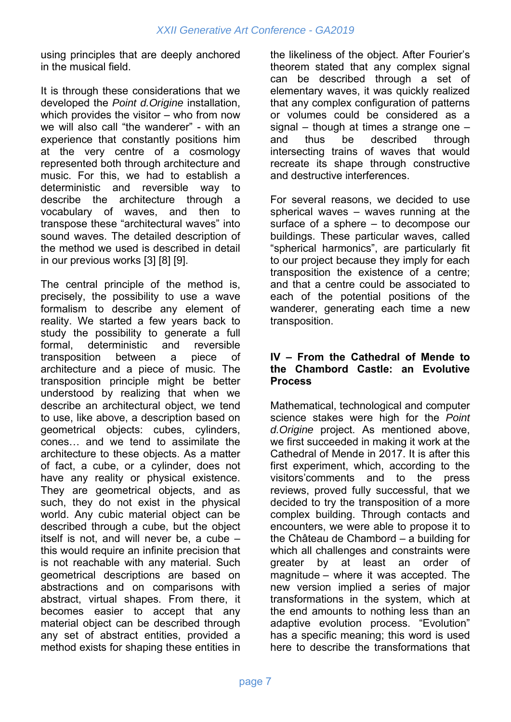using principles that are deeply anchored in the musical field.

It is through these considerations that we developed the *Point d.Origine* installation, which provides the visitor – who from now we will also call "the wanderer" - with an experience that constantly positions him at the very centre of a cosmology represented both through architecture and music. For this, we had to establish a deterministic and reversible way to describe the architecture through a vocabulary of waves, and then to transpose these "architectural waves" into sound waves. The detailed description of the method we used is described in detail in our previous works [3] [8] [9].

The central principle of the method is, precisely, the possibility to use a wave formalism to describe any element of reality. We started a few years back to study the possibility to generate a full formal, deterministic and reversible transposition between a piece of architecture and a piece of music. The transposition principle might be better understood by realizing that when we describe an architectural object, we tend to use, like above, a description based on geometrical objects: cubes, cylinders, cones… and we tend to assimilate the architecture to these objects. As a matter of fact, a cube, or a cylinder, does not have any reality or physical existence. They are geometrical objects, and as such, they do not exist in the physical world. Any cubic material object can be described through a cube, but the object itself is not, and will never be, a cube – this would require an infinite precision that is not reachable with any material. Such geometrical descriptions are based on abstractions and on comparisons with abstract, virtual shapes. From there, it becomes easier to accept that any material object can be described through any set of abstract entities, provided a method exists for shaping these entities in

the likeliness of the object. After Fourier's theorem stated that any complex signal can be described through a set of elementary waves, it was quickly realized that any complex configuration of patterns or volumes could be considered as a signal – though at times a strange one – and thus be described through intersecting trains of waves that would recreate its shape through constructive and destructive interferences.

For several reasons, we decided to use spherical waves – waves running at the surface of a sphere – to decompose our buildings. These particular waves, called "spherical harmonics", are particularly fit to our project because they imply for each transposition the existence of a centre; and that a centre could be associated to each of the potential positions of the wanderer, generating each time a new transposition.

#### **IV – From the Cathedral of Mende to the Chambord Castle: an Evolutive Process**

Mathematical, technological and computer science stakes were high for the *Point d.Origine* project. As mentioned above, we first succeeded in making it work at the Cathedral of Mende in 2017. It is after this first experiment, which, according to the visitors'comments and to the press reviews, proved fully successful, that we decided to try the transposition of a more complex building. Through contacts and encounters, we were able to propose it to the Château de Chambord – a building for which all challenges and constraints were greater by at least an order of magnitude – where it was accepted. The new version implied a series of major transformations in the system, which at the end amounts to nothing less than an adaptive evolution process. "Evolution" has a specific meaning; this word is used here to describe the transformations that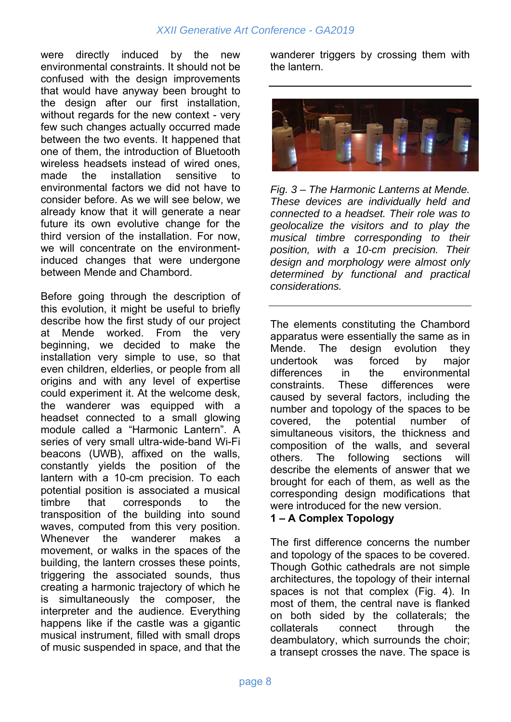#### *XXII Generative Art Conference - GA2019*

were directly induced by the new environmental constraints. It should not be confused with the design improvements that would have anyway been brought to the design after our first installation, without regards for the new context - very few such changes actually occurred made between the two events. It happened that one of them, the introduction of Bluetooth wireless headsets instead of wired ones, made the installation sensitive to environmental factors we did not have to consider before. As we will see below, we already know that it will generate a near future its own evolutive change for the third version of the installation. For now, we will concentrate on the environmentinduced changes that were undergone between Mende and Chambord.

Before going through the description of this evolution, it might be useful to briefly describe how the first study of our project at Mende worked. From the very beginning, we decided to make the installation very simple to use, so that even children, elderlies, or people from all origins and with any level of expertise could experiment it. At the welcome desk, the wanderer was equipped with a headset connected to a small glowing module called a "Harmonic Lantern". A series of very small ultra-wide-band Wi-Fi beacons (UWB), affixed on the walls, constantly yields the position of the lantern with a 10-cm precision. To each potential position is associated a musical timbre that corresponds to the transposition of the building into sound waves, computed from this very position. Whenever the wanderer makes a movement, or walks in the spaces of the building, the lantern crosses these points, triggering the associated sounds, thus creating a harmonic trajectory of which he is simultaneously the composer, the interpreter and the audience. Everything happens like if the castle was a gigantic musical instrument, filled with small drops of music suspended in space, and that the

wanderer triggers by crossing them with the lantern.



*Fig. 3 – The Harmonic Lanterns at Mende. These devices are individually held and connected to a headset. Their role was to geolocalize the visitors and to play the musical timbre corresponding to their position, with a 10-cm precision. Their design and morphology were almost only determined by functional and practical considerations.* 

The elements constituting the Chambord apparatus were essentially the same as in Mende. The design evolution they undertook was forced by major differences in the environmental constraints. These differences were caused by several factors, including the number and topology of the spaces to be covered, the potential number of simultaneous visitors, the thickness and composition of the walls, and several others. The following sections will describe the elements of answer that we brought for each of them, as well as the corresponding design modifications that were introduced for the new version.

#### **1 – A Complex Topology**

The first difference concerns the number and topology of the spaces to be covered. Though Gothic cathedrals are not simple architectures, the topology of their internal spaces is not that complex (Fig. 4). In most of them, the central nave is flanked on both sided by the collaterals; the collaterals connect through the deambulatory, which surrounds the choir; a transept crosses the nave. The space is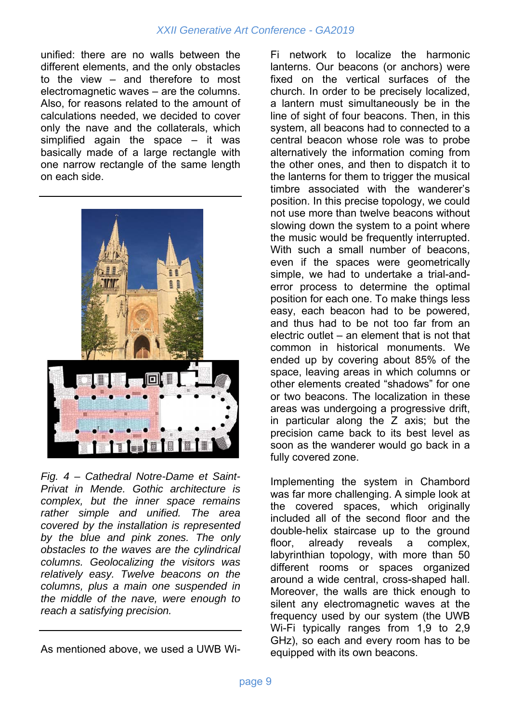unified: there are no walls between the different elements, and the only obstacles to the view – and therefore to most electromagnetic waves – are the columns. Also, for reasons related to the amount of calculations needed, we decided to cover only the nave and the collaterals, which simplified again the space – it was basically made of a large rectangle with one narrow rectangle of the same length on each side.



*Fig. 4 – Cathedral Notre-Dame et Saint-Privat in Mende. Gothic architecture is complex, but the inner space remains rather simple and unified. The area covered by the installation is represented by the blue and pink zones. The only obstacles to the waves are the cylindrical columns. Geolocalizing the visitors was relatively easy. Twelve beacons on the columns, plus a main one suspended in the middle of the nave, were enough to reach a satisfying precision.* 

As mentioned above, we used a UWB Wi-

Fi network to localize the harmonic lanterns. Our beacons (or anchors) were fixed on the vertical surfaces of the church. In order to be precisely localized, a lantern must simultaneously be in the line of sight of four beacons. Then, in this system, all beacons had to connected to a central beacon whose role was to probe alternatively the information coming from the other ones, and then to dispatch it to the lanterns for them to trigger the musical timbre associated with the wanderer's position. In this precise topology, we could not use more than twelve beacons without slowing down the system to a point where the music would be frequently interrupted. With such a small number of beacons. even if the spaces were geometrically simple, we had to undertake a trial-anderror process to determine the optimal position for each one. To make things less easy, each beacon had to be powered, and thus had to be not too far from an electric outlet – an element that is not that common in historical monuments. We ended up by covering about 85% of the space, leaving areas in which columns or other elements created "shadows" for one or two beacons. The localization in these areas was undergoing a progressive drift, in particular along the Z axis; but the precision came back to its best level as soon as the wanderer would go back in a fully covered zone.

Implementing the system in Chambord was far more challenging. A simple look at the covered spaces, which originally included all of the second floor and the double-helix staircase up to the ground floor, already reveals a complex, labyrinthian topology, with more than 50 different rooms or spaces organized around a wide central, cross-shaped hall. Moreover, the walls are thick enough to silent any electromagnetic waves at the frequency used by our system (the UWB Wi-Fi typically ranges from 1,9 to 2,9 GHz), so each and every room has to be equipped with its own beacons.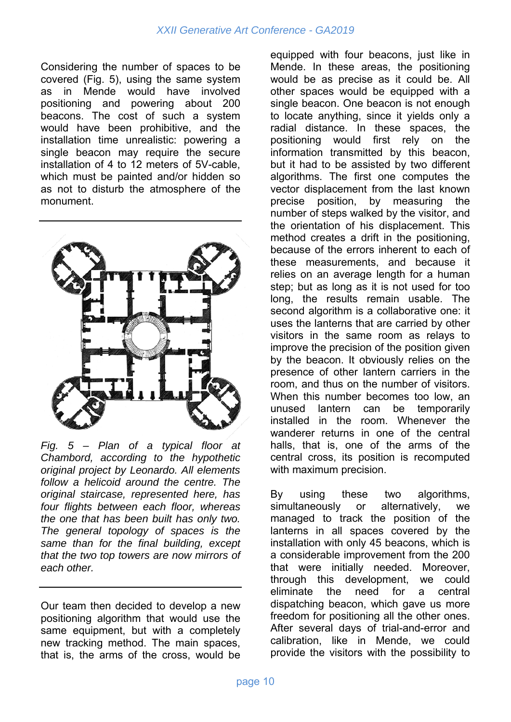Considering the number of spaces to be covered (Fig. 5), using the same system as in Mende would have involved positioning and powering about 200 beacons. The cost of such a system would have been prohibitive, and the installation time unrealistic: powering a single beacon may require the secure installation of 4 to 12 meters of 5V-cable, which must be painted and/or hidden so as not to disturb the atmosphere of the monument.



*Fig. 5 – Plan of a typical floor at Chambord, according to the hypothetic original project by Leonardo. All elements follow a helicoid around the centre. The original staircase, represented here, has four flights between each floor, whereas the one that has been built has only two. The general topology of spaces is the same than for the final building, except that the two top towers are now mirrors of each other.* 

Our team then decided to develop a new positioning algorithm that would use the same equipment, but with a completely new tracking method. The main spaces, that is, the arms of the cross, would be

equipped with four beacons, just like in Mende. In these areas, the positioning would be as precise as it could be. All other spaces would be equipped with a single beacon. One beacon is not enough to locate anything, since it yields only a radial distance. In these spaces, the positioning would first rely on the information transmitted by this beacon, but it had to be assisted by two different algorithms. The first one computes the vector displacement from the last known precise position, by measuring the number of steps walked by the visitor, and the orientation of his displacement. This method creates a drift in the positioning, because of the errors inherent to each of these measurements, and because it relies on an average length for a human step; but as long as it is not used for too long, the results remain usable. The second algorithm is a collaborative one: it uses the lanterns that are carried by other visitors in the same room as relays to improve the precision of the position given by the beacon. It obviously relies on the presence of other lantern carriers in the room, and thus on the number of visitors. When this number becomes too low, an unused lantern can be temporarily installed in the room. Whenever the wanderer returns in one of the central halls, that is, one of the arms of the central cross, its position is recomputed with maximum precision.

By using these two algorithms, simultaneously or alternatively, we managed to track the position of the lanterns in all spaces covered by the installation with only 45 beacons, which is a considerable improvement from the 200 that were initially needed. Moreover, through this development, we could eliminate the need for a central dispatching beacon, which gave us more freedom for positioning all the other ones. After several days of trial-and-error and calibration, like in Mende, we could provide the visitors with the possibility to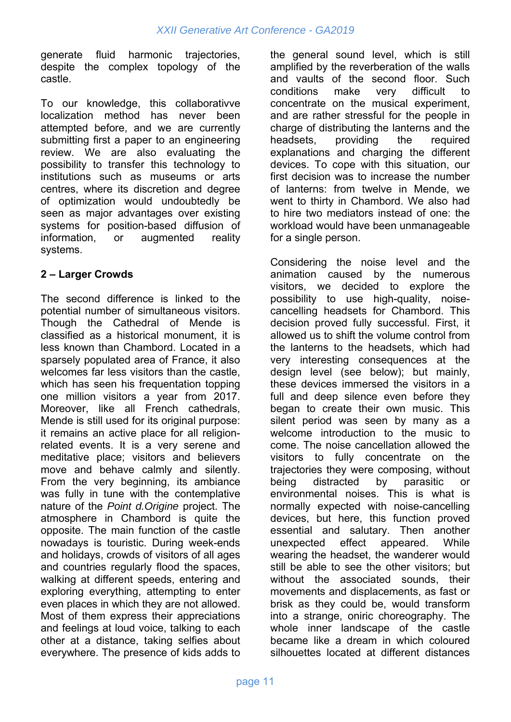generate fluid harmonic trajectories, despite the complex topology of the castle.

To our knowledge, this collaborativve localization method has never been attempted before, and we are currently submitting first a paper to an engineering review. We are also evaluating the possibility to transfer this technology to institutions such as museums or arts centres, where its discretion and degree of optimization would undoubtedly be seen as major advantages over existing systems for position-based diffusion of information, or augmented reality systems.

#### **2 – Larger Crowds**

The second difference is linked to the potential number of simultaneous visitors. Though the Cathedral of Mende is classified as a historical monument, it is less known than Chambord. Located in a sparsely populated area of France, it also welcomes far less visitors than the castle, which has seen his frequentation topping one million visitors a year from 2017. Moreover, like all French cathedrals, Mende is still used for its original purpose: it remains an active place for all religionrelated events. It is a very serene and meditative place; visitors and believers move and behave calmly and silently. From the very beginning, its ambiance was fully in tune with the contemplative nature of the *Point d.Origine* project. The atmosphere in Chambord is quite the opposite. The main function of the castle nowadays is touristic. During week-ends and holidays, crowds of visitors of all ages and countries regularly flood the spaces, walking at different speeds, entering and exploring everything, attempting to enter even places in which they are not allowed. Most of them express their appreciations and feelings at loud voice, talking to each other at a distance, taking selfies about everywhere. The presence of kids adds to

the general sound level, which is still amplified by the reverberation of the walls and vaults of the second floor. Such conditions make very difficult to concentrate on the musical experiment, and are rather stressful for the people in charge of distributing the lanterns and the headsets, providing the required explanations and charging the different devices. To cope with this situation, our first decision was to increase the number of lanterns: from twelve in Mende, we went to thirty in Chambord. We also had to hire two mediators instead of one: the workload would have been unmanageable for a single person.

Considering the noise level and the animation caused by the numerous visitors, we decided to explore the possibility to use high-quality, noisecancelling headsets for Chambord. This decision proved fully successful. First, it allowed us to shift the volume control from the lanterns to the headsets, which had very interesting consequences at the design level (see below); but mainly, these devices immersed the visitors in a full and deep silence even before they began to create their own music. This silent period was seen by many as a welcome introduction to the music to come. The noise cancellation allowed the visitors to fully concentrate on the trajectories they were composing, without being distracted by parasitic or environmental noises. This is what is normally expected with noise-cancelling devices, but here, this function proved essential and salutary. Then another unexpected effect appeared. While wearing the headset, the wanderer would still be able to see the other visitors; but without the associated sounds, their movements and displacements, as fast or brisk as they could be, would transform into a strange, oniric choreography. The whole inner landscape of the castle became like a dream in which coloured silhouettes located at different distances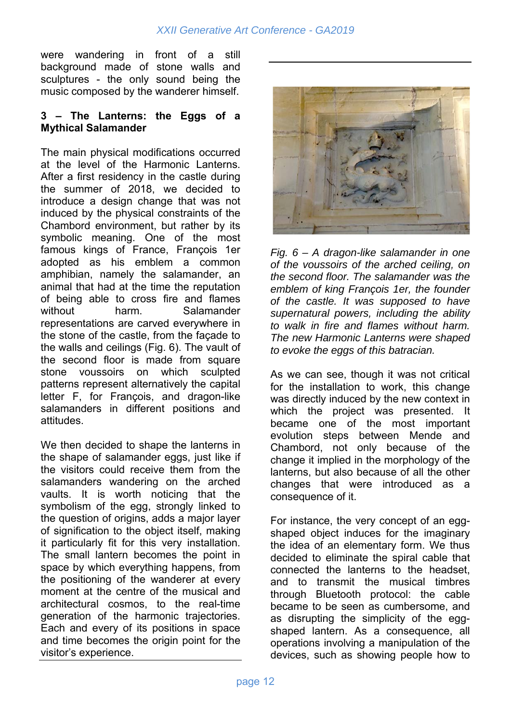were wandering in front of a still background made of stone walls and sculptures - the only sound being the music composed by the wanderer himself.

#### **3 – The Lanterns: the Eggs of a Mythical Salamander**

The main physical modifications occurred at the level of the Harmonic Lanterns. After a first residency in the castle during the summer of 2018, we decided to introduce a design change that was not induced by the physical constraints of the Chambord environment, but rather by its symbolic meaning. One of the most famous kings of France, François 1er adopted as his emblem a common amphibian, namely the salamander, an animal that had at the time the reputation of being able to cross fire and flames without harm. Salamander representations are carved everywhere in the stone of the castle, from the façade to the walls and ceilings (Fig. 6). The vault of the second floor is made from square stone voussoirs on which sculpted patterns represent alternatively the capital letter F, for François, and dragon-like salamanders in different positions and attitudes.

We then decided to shape the lanterns in the shape of salamander eggs, just like if the visitors could receive them from the salamanders wandering on the arched vaults. It is worth noticing that the symbolism of the egg, strongly linked to the question of origins, adds a major layer of signification to the object itself, making it particularly fit for this very installation. The small lantern becomes the point in space by which everything happens, from the positioning of the wanderer at every moment at the centre of the musical and architectural cosmos, to the real-time generation of the harmonic trajectories. Each and every of its positions in space and time becomes the origin point for the visitor's experience.



*Fig. 6 – A dragon-like salamander in one of the voussoirs of the arched ceiling, on the second floor. The salamander was the emblem of king François 1er, the founder of the castle. It was supposed to have supernatural powers, including the ability to walk in fire and flames without harm. The new Harmonic Lanterns were shaped to evoke the eggs of this batracian.* 

As we can see, though it was not critical for the installation to work, this change was directly induced by the new context in which the project was presented. It became one of the most important evolution steps between Mende and Chambord, not only because of the change it implied in the morphology of the lanterns, but also because of all the other changes that were introduced as a consequence of it.

For instance, the very concept of an eggshaped object induces for the imaginary the idea of an elementary form. We thus decided to eliminate the spiral cable that connected the lanterns to the headset, and to transmit the musical timbres through Bluetooth protocol: the cable became to be seen as cumbersome, and as disrupting the simplicity of the eggshaped lantern. As a consequence, all operations involving a manipulation of the devices, such as showing people how to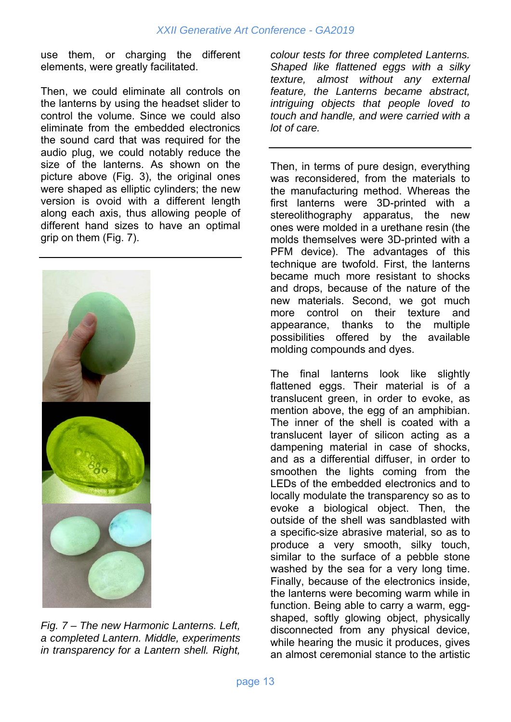use them, or charging the different elements, were greatly facilitated.

Then, we could eliminate all controls on the lanterns by using the headset slider to control the volume. Since we could also eliminate from the embedded electronics the sound card that was required for the audio plug, we could notably reduce the size of the lanterns. As shown on the picture above (Fig. 3), the original ones were shaped as elliptic cylinders; the new version is ovoid with a different length along each axis, thus allowing people of different hand sizes to have an optimal grip on them (Fig. 7).



*Fig. 7 – The new Harmonic Lanterns. Left, a completed Lantern. Middle, experiments in transparency for a Lantern shell. Right,* 

*colour tests for three completed Lanterns. Shaped like flattened eggs with a silky texture, almost without any external feature, the Lanterns became abstract, intriguing objects that people loved to touch and handle, and were carried with a lot of care.* 

Then, in terms of pure design, everything was reconsidered, from the materials to the manufacturing method. Whereas the first lanterns were 3D-printed with a stereolithography apparatus, the new ones were molded in a urethane resin (the molds themselves were 3D-printed with a PFM device). The advantages of this technique are twofold. First, the lanterns became much more resistant to shocks and drops, because of the nature of the new materials. Second, we got much more control on their texture and appearance, thanks to the multiple possibilities offered by the available molding compounds and dyes.

The final lanterns look like slightly flattened eggs. Their material is of a translucent green, in order to evoke, as mention above, the egg of an amphibian. The inner of the shell is coated with a translucent layer of silicon acting as a dampening material in case of shocks, and as a differential diffuser, in order to smoothen the lights coming from the LEDs of the embedded electronics and to locally modulate the transparency so as to evoke a biological object. Then, the outside of the shell was sandblasted with a specific-size abrasive material, so as to produce a very smooth, silky touch, similar to the surface of a pebble stone washed by the sea for a very long time. Finally, because of the electronics inside, the lanterns were becoming warm while in function. Being able to carry a warm, eggshaped, softly glowing object, physically disconnected from any physical device, while hearing the music it produces, gives an almost ceremonial stance to the artistic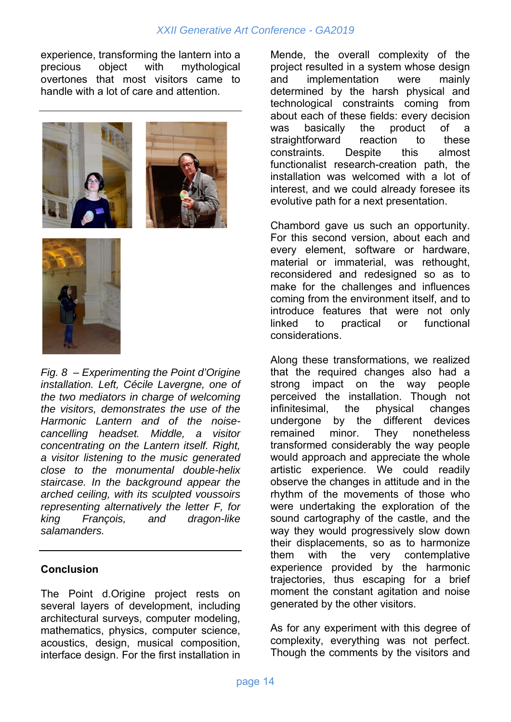experience, transforming the lantern into a precious object with mythological overtones that most visitors came to handle with a lot of care and attention.





*Fig. 8 – Experimenting the Point d'Origine installation. Left, Cécile Lavergne, one of the two mediators in charge of welcoming the visitors, demonstrates the use of the Harmonic Lantern and of the noisecancelling headset. Middle, a visitor concentrating on the Lantern itself. Right, a visitor listening to the music generated close to the monumental double-helix staircase. In the background appear the arched ceiling, with its sculpted voussoirs representing alternatively the letter F, for king François, and dragon-like salamanders.* 

#### **Conclusion**

The Point d.Origine project rests on several layers of development, including architectural surveys, computer modeling, mathematics, physics, computer science, acoustics, design, musical composition, interface design. For the first installation in

Mende, the overall complexity of the project resulted in a system whose design and implementation were mainly determined by the harsh physical and technological constraints coming from about each of these fields: every decision was basically the product of a straightforward reaction to these constraints. Despite this almost functionalist research-creation path, the installation was welcomed with a lot of interest, and we could already foresee its evolutive path for a next presentation.

Chambord gave us such an opportunity. For this second version, about each and every element, software or hardware, material or immaterial, was rethought, reconsidered and redesigned so as to make for the challenges and influences coming from the environment itself, and to introduce features that were not only linked to practical or functional considerations.

Along these transformations, we realized that the required changes also had a strong impact on the way people perceived the installation. Though not infinitesimal, the physical changes undergone by the different devices remained minor. They nonetheless transformed considerably the way people would approach and appreciate the whole artistic experience. We could readily observe the changes in attitude and in the rhythm of the movements of those who were undertaking the exploration of the sound cartography of the castle, and the way they would progressively slow down their displacements, so as to harmonize them with the very contemplative experience provided by the harmonic trajectories, thus escaping for a brief moment the constant agitation and noise generated by the other visitors.

As for any experiment with this degree of complexity, everything was not perfect. Though the comments by the visitors and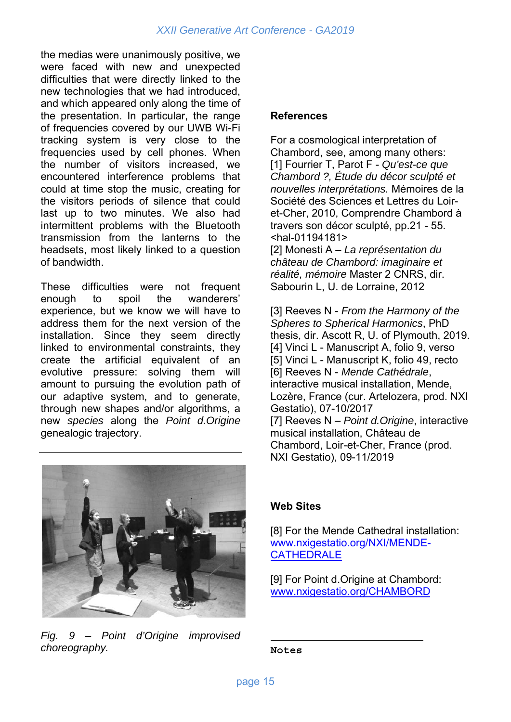the medias were unanimously positive, we were faced with new and unexpected difficulties that were directly linked to the new technologies that we had introduced, and which appeared only along the time of the presentation. In particular, the range of frequencies covered by our UWB Wi-Fi tracking system is very close to the frequencies used by cell phones. When the number of visitors increased, we encountered interference problems that could at time stop the music, creating for the visitors periods of silence that could last up to two minutes. We also had intermittent problems with the Bluetooth transmission from the lanterns to the headsets, most likely linked to a question of bandwidth.

These difficulties were not frequent enough to spoil the wanderers' experience, but we know we will have to address them for the next version of the installation. Since they seem directly linked to environmental constraints, they create the artificial equivalent of an evolutive pressure: solving them will amount to pursuing the evolution path of our adaptive system, and to generate, through new shapes and/or algorithms, a new *species* along the *Point d.Origine*  genealogic trajectory.

# **References**

For a cosmological interpretation of Chambord, see, among many others: [1] Fourrier T, Parot F - *Qu'est-ce que Chambord ?, Étude du décor sculpté et nouvelles interprétations.* Mémoires de la Société des Sciences et Lettres du Loiret-Cher, 2010, Comprendre Chambord à travers son décor sculpté, pp.21 - 55. <hal-01194181>

[2] Monesti A – *La représentation du château de Chambord: imaginaire et réalité, mémoire* Master 2 CNRS, dir. Sabourin L, U. de Lorraine, 2012

[3] Reeves N - *From the Harmony of the Spheres to Spherical Harmonics*, PhD thesis, dir. Ascott R, U. of Plymouth, 2019. [4] Vinci L - Manuscript A, folio 9, verso [5] Vinci L - Manuscript K, folio 49, recto [6] Reeves N - *Mende Cathédrale*, interactive musical installation, Mende, Lozère, France (cur. Artelozera, prod. NXI Gestatio), 07-10/2017 [7] Reeves N – *Point d.Origine*, interactive musical installation, Château de Chambord, Loir-et-Cher, France (prod. NXI Gestatio), 09-11/2019



*Fig. 9 – Point d'Origine improvised choreography.* 

#### **Web Sites**

[8] For the Mende Cathedral installation: www.nxigestatio.org/NXI/MENDE-**CATHEDRALE** 

[9] For Point d. Origine at Chambord: www.nxigestatio.org/CHAMBORD

**Notes**